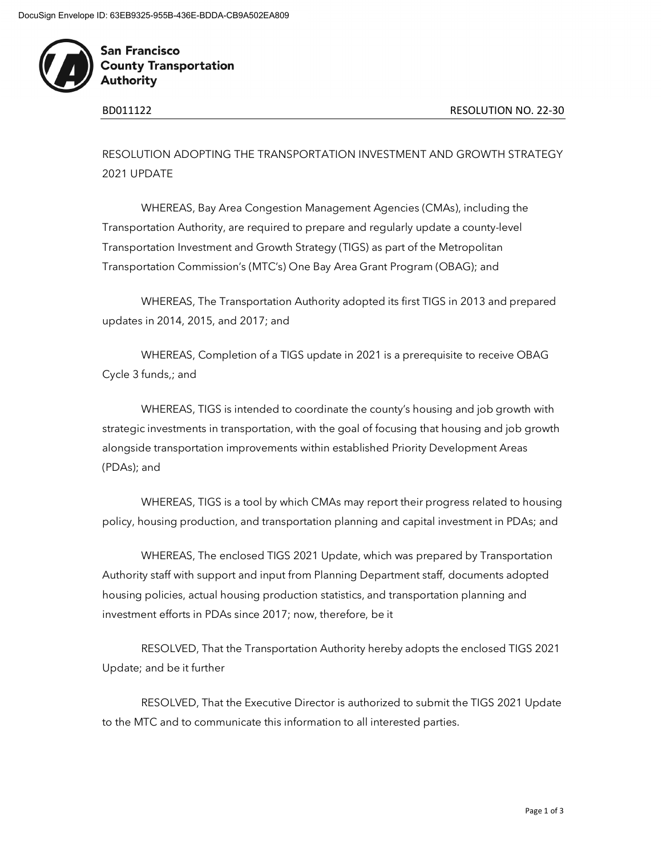

**San Francisco County Transportation Authority** 

RESOLUTION ADOPTING THE TRANSPORTATION INVESTMENT AND GROWTH STRATEGY 2021 UPDATE

WHEREAS, Bay Area Congestion Management Agencies (CMAs), including the Transportation Authority, are required to prepare and regularly update a county-level Transportation Investment and Growth Strategy (TIGS) as part of the Metropolitan Transportation Commission's (MTC's) One Bay Area Grant Program (OBAG); and

WHEREAS, The Transportation Authority adopted its first TIGS in 2013 and prepared updates in 2014, 2015, and 2017; and

WHEREAS, Completion of a TIGS update in 2021 is a prerequisite to receive OBAG Cycle 3 funds,; and

WHEREAS, TIGS is intended to coordinate the county's housing and job growth with strategic investments in transportation, with the goal of focusing that housing and job growth alongside transportation improvements within established Priority Development Areas (PDAs); and

WHEREAS, TIGS is a tool by which CMAs may report their progress related to housing policy, housing production, and transportation planning and capital investment in PDAs; and

WHEREAS, The enclosed TIGS 2021 Update, which was prepared by Transportation Authority staff with support and input from Planning Department staff, documents adopted housing policies, actual housing production statistics, and transportation planning and investment efforts in PDAs since 2017; now, therefore, be it

RESOLVED, That the Transportation Authority hereby adopts the enclosed TIGS 2021 Update; and be it further

RESOLVED, That the Executive Director is authorized to submit the TIGS 2021 Update to the MTC and to communicate this information to all interested parties.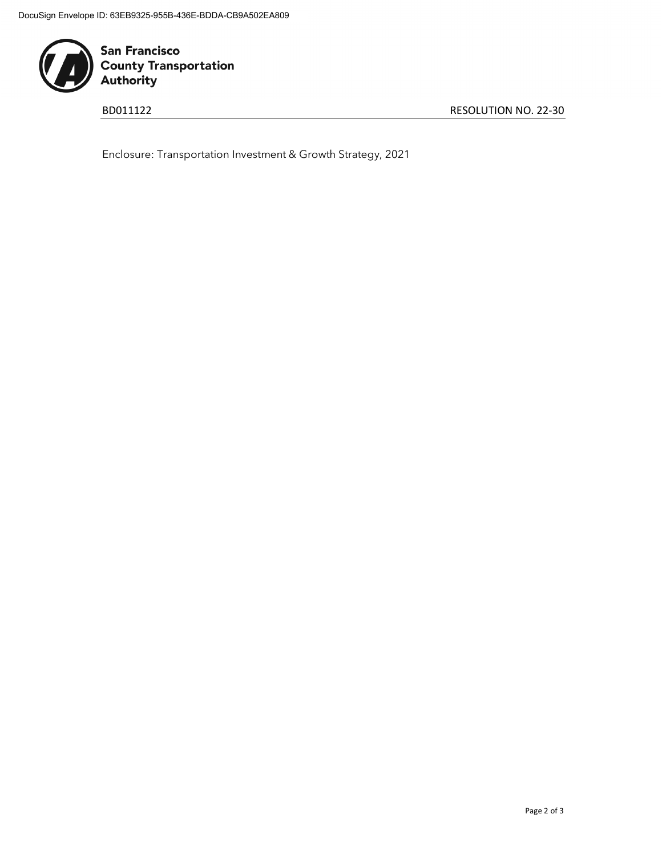

San Francisco<br>County Transportation<br>Authority

BD011122 RESOLUTION NO. 22-30

Enclosure: Transportation Investment & Growth Strategy, 2021